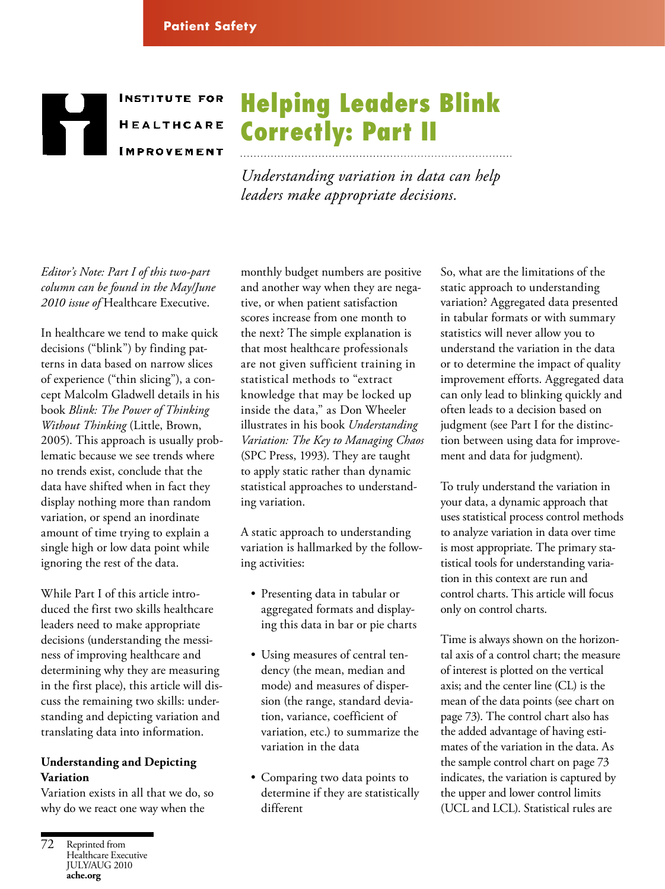# **INSTITUTE FOR HEALTHCARE IMPROVEMENT**

# Helping Leaders Blink Correctly: Part II

*Understanding variation in data can help leaders make appropriate decisions.*

*Editor's Note: Part I of this two-part column can be found in the May/June 2010 issue of* Healthcare Executive.

In healthcare we tend to make quick decisions ("blink") by finding patterns in data based on narrow slices of experience ("thin slicing"), a concept Malcolm Gladwell details in his book *Blink: The Power of Thinking Without Thinking* (Little, Brown, 2005). This approach is usually problematic because we see trends where no trends exist, conclude that the data have shifted when in fact they display nothing more than random variation, or spend an inordinate amount of time trying to explain a single high or low data point while ignoring the rest of the data.

While Part I of this article introduced the first two skills healthcare leaders need to make appropriate decisions (understanding the messiness of improving healthcare and determining why they are measuring in the first place), this article will discuss the remaining two skills: understanding and depicting variation and translating data into information.

## **Understanding and Depicting Variation**

Variation exists in all that we do, so why do we react one way when the

monthly budget numbers are positive and another way when they are negative, or when patient satisfaction scores increase from one month to the next? The simple explanation is that most healthcare professionals are not given sufficient training in statistical methods to "extract knowledge that may be locked up inside the data," as Don Wheeler illustrates in his book *Understanding Variation: The Key to Managing Chaos* (SPC Press, 1993). They are taught to apply static rather than dynamic statistical approaches to understanding variation.

A static approach to understanding variation is hallmarked by the following activities:

- Presenting data in tabular or aggregated formats and displaying this data in bar or pie charts
- Using measures of central tendency (the mean, median and mode) and measures of dispersion (the range, standard deviation, variance, coefficient of variation, etc.) to summarize the variation in the data
- Comparing two data points to determine if they are statistically different

So, what are the limitations of the static approach to understanding variation? Aggregated data presented in tabular formats or with summary statistics will never allow you to understand the variation in the data or to determine the impact of quality improvement efforts. Aggregated data can only lead to blinking quickly and often leads to a decision based on judgment (see Part I for the distinction between using data for improvement and data for judgment).

To truly understand the variation in your data, a dynamic approach that uses statistical process control methods to analyze variation in data over time is most appropriate. The primary statistical tools for understanding variation in this context are run and control charts. This article will focus only on control charts.

Time is always shown on the horizontal axis of a control chart; the measure of interest is plotted on the vertical axis; and the center line (CL) is the mean of the data points (see chart on page 73). The control chart also has the added advantage of having estimates of the variation in the data. As the sample control chart on page 73 indicates, the variation is captured by the upper and lower control limits (UCL and LCL). Statistical rules are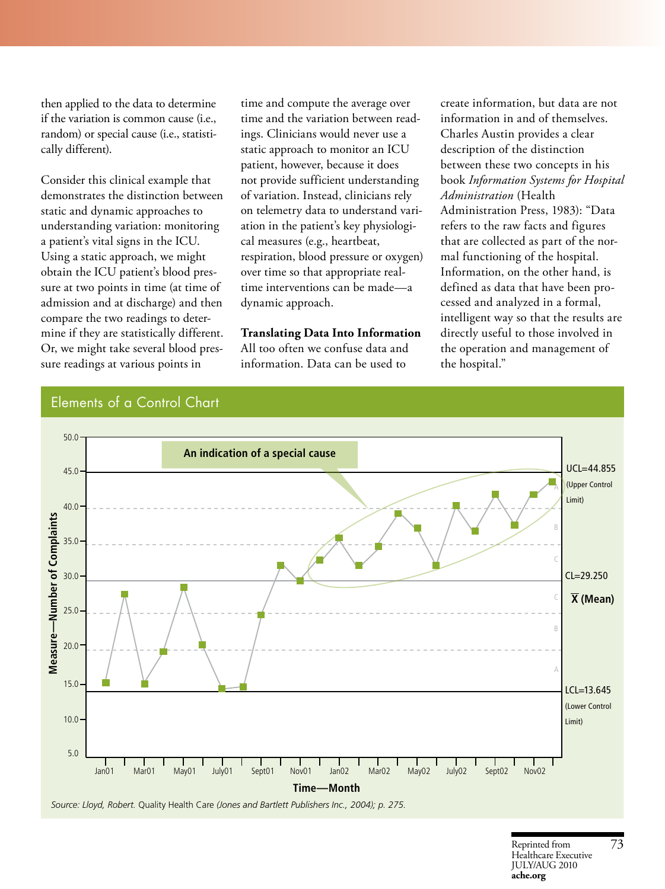then applied to the data to determine if the variation is common cause (i.e., random) or special cause (i.e., statistically different).

Consider this clinical example that demonstrates the distinction between static and dynamic approaches to understanding variation: monitoring a patient's vital signs in the ICU. Using a static approach, we might obtain the ICU patient's blood pressure at two points in time (at time of admission and at discharge) and then compare the two readings to determine if they are statistically different. Or, we might take several blood pressure readings at various points in

time and compute the average over time and the variation between readings. Clinicians would never use a static approach to monitor an ICU patient, however, because it does not provide sufficient understanding of variation. Instead, clinicians rely on telemetry data to understand variation in the patient's key physiological measures (e.g., heartbeat, respiration, blood pressure or oxygen) over time so that appropriate realtime interventions can be made—a dynamic approach.

#### **Translating Data Into Information**

All too often we confuse data and information. Data can be used to

create information, but data are not information in and of themselves. Charles Austin provides a clear description of the distinction between these two concepts in his book *Information Systems for Hospital Administration* (Health Administration Press, 1983): "Data refers to the raw facts and figures that are collected as part of the normal functioning of the hospital. Information, on the other hand, is defined as data that have been processed and analyzed in a formal, intelligent way so that the results are directly useful to those involved in the operation and management of the hospital."

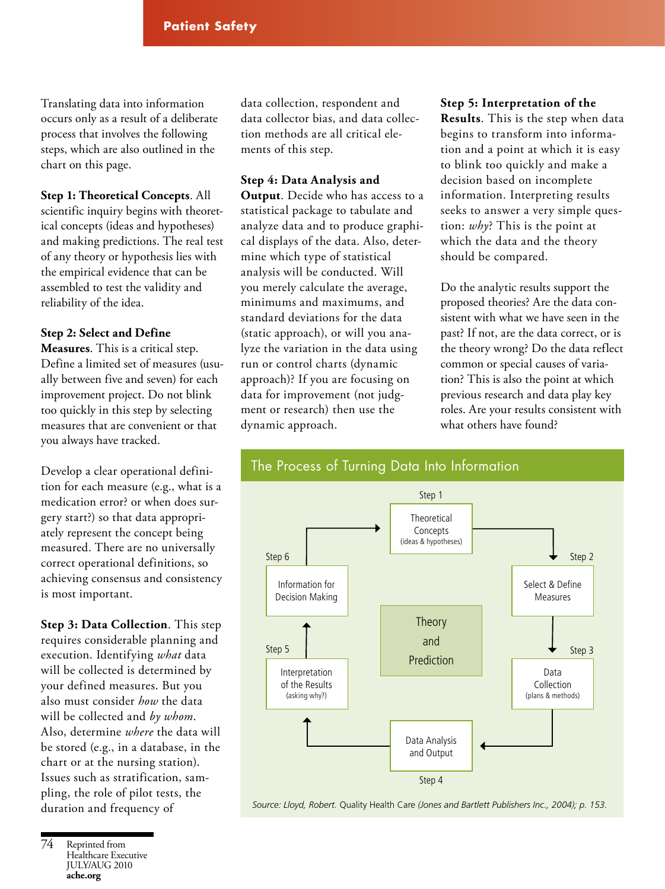Translating data into information occurs only as a result of a deliberate process that involves the following steps, which are also outlined in the chart on this page.

# **Step 1: Theoretical Concepts**. All scientific inquiry begins with theoretical concepts (ideas and hypotheses) and making predictions. The real test of any theory or hypothesis lies with the empirical evidence that can be assembled to test the validity and reliability of the idea.

## **Step 2: Select and Define**

**Measures**. This is a critical step. Define a limited set of measures (usually between five and seven) for each improvement project. Do not blink too quickly in this step by selecting measures that are convenient or that you always have tracked.

Develop a clear operational definition for each measure (e.g., what is a medication error? or when does surgery start?) so that data appropriately represent the concept being measured. There are no universally correct operational definitions, so achieving consensus and consistency is most important.

**Step 3: Data Collection**. This step requires considerable planning and execution. Identifying *what* data will be collected is determined by your defined measures. But you also must consider *how* the data will be collected and *by whom*. Also, determine *where* the data will be stored (e.g., in a database, in the chart or at the nursing station). Issues such as stratification, sampling, the role of pilot tests, the duration and frequency of

data collection, respondent and data collector bias, and data collection methods are all critical elements of this step.

#### **Step 4: Data Analysis and**

**Output**. Decide who has access to a statistical package to tabulate and analyze data and to produce graphical displays of the data. Also, determine which type of statistical analysis will be conducted. Will you merely calculate the average, minimums and maximums, and standard deviations for the data (static approach), or will you analyze the variation in the data using run or control charts (dynamic approach)? If you are focusing on data for improvement (not judgment or research) then use the dynamic approach.

**Step 5: Interpretation of the Results**. This is the step when data begins to transform into information and a point at which it is easy to blink too quickly and make a decision based on incomplete information. Interpreting results seeks to answer a very simple question: *why*? This is the point at which the data and the theory should be compared.

Do the analytic results support the proposed theories? Are the data consistent with what we have seen in the past? If not, are the data correct, or is the theory wrong? Do the data reflect common or special causes of variation? This is also the point at which previous research and data play key roles. Are your results consistent with what others have found?

# The Process of Turning Data Into Information



*Source: Lloyd, Robert.* Quality Health Care *(Jones and Bartlett Publishers Inc., 2004); p. 153.*